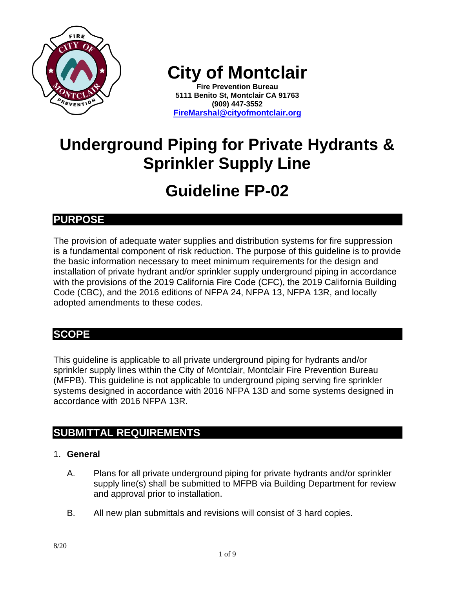

**City of Montclair**

**Fire Prevention Bureau 5111 Benito St, Montclair CA 91763 (909) 447-3552 [FireMarshal@cityofmontclair.org](mailto:FireMarshal@cityofmontclair.org)**

# **Underground Piping for Private Hydrants & Sprinkler Supply Line**

# **Guideline FP-02**

# **PURPOSE**

The provision of adequate water supplies and distribution systems for fire suppression is a fundamental component of risk reduction. The purpose of this guideline is to provide the basic information necessary to meet minimum requirements for the design and installation of private hydrant and/or sprinkler supply underground piping in accordance with the provisions of the 2019 California Fire Code (CFC), the 2019 California Building Code (CBC), and the 2016 editions of NFPA 24, NFPA 13, NFPA 13R, and locally adopted amendments to these codes.

# **SCOPE**

This guideline is applicable to all private underground piping for hydrants and/or sprinkler supply lines within the City of Montclair, Montclair Fire Prevention Bureau (MFPB). This guideline is not applicable to underground piping serving fire sprinkler systems designed in accordance with 2016 NFPA 13D and some systems designed in accordance with 2016 NFPA 13R.

# **SUBMITTAL REQUIREMENTS**

# 1. **General**

- A. Plans for all private underground piping for private hydrants and/or sprinkler supply line(s) shall be submitted to MFPB via Building Department for review and approval prior to installation.
- B. All new plan submittals and revisions will consist of 3 hard copies.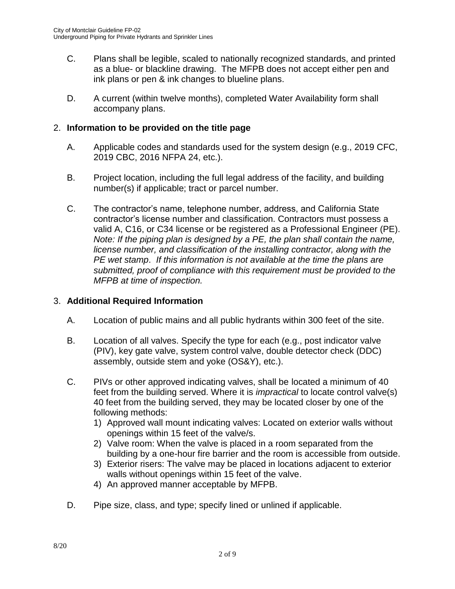- C. Plans shall be legible, scaled to nationally recognized standards, and printed as a blue- or blackline drawing. The MFPB does not accept either pen and ink plans or pen & ink changes to blueline plans.
- D. A current (within twelve months), completed Water Availability form shall accompany plans.

## 2. **Information to be provided on the title page**

- A. Applicable codes and standards used for the system design (e.g., 2019 CFC, 2019 CBC, 2016 NFPA 24, etc.).
- B. Project location, including the full legal address of the facility, and building number(s) if applicable; tract or parcel number.
- C. The contractor's name, telephone number, address, and California State contractor's license number and classification. Contractors must possess a valid A, C16, or C34 license or be registered as a Professional Engineer (PE). *Note: If the piping plan is designed by a PE, the plan shall contain the name, license number, and classification of the installing contractor, along with the PE wet stamp*. *If this information is not available at the time the plans are submitted, proof of compliance with this requirement must be provided to the MFPB at time of inspection.*

## 3. **Additional Required Information**

- A. Location of public mains and all public hydrants within 300 feet of the site.
- B. Location of all valves. Specify the type for each (e.g., post indicator valve (PIV), key gate valve, system control valve, double detector check (DDC) assembly, outside stem and yoke (OS&Y), etc.).
- C. PIVs or other approved indicating valves, shall be located a minimum of 40 feet from the building served. Where it is *impractical* to locate control valve(s) 40 feet from the building served, they may be located closer by one of the following methods:
	- 1) Approved wall mount indicating valves: Located on exterior walls without openings within 15 feet of the valve/s.
	- 2) Valve room: When the valve is placed in a room separated from the building by a one-hour fire barrier and the room is accessible from outside.
	- 3) Exterior risers: The valve may be placed in locations adjacent to exterior walls without openings within 15 feet of the valve.
	- 4) An approved manner acceptable by MFPB.
- D. Pipe size, class, and type; specify lined or unlined if applicable.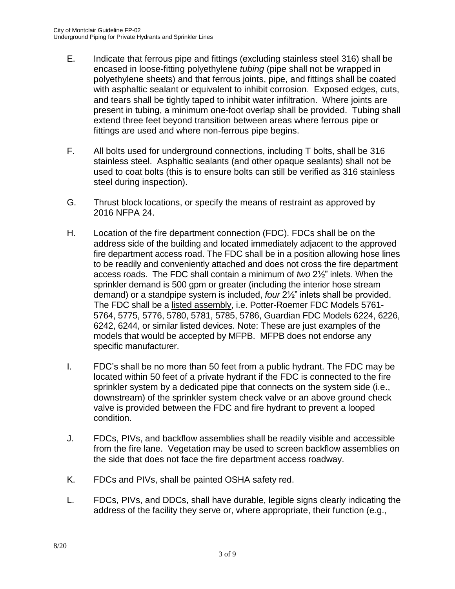- E. Indicate that ferrous pipe and fittings (excluding stainless steel 316) shall be encased in loose-fitting polyethylene *tubing* (pipe shall not be wrapped in polyethylene sheets) and that ferrous joints, pipe, and fittings shall be coated with asphaltic sealant or equivalent to inhibit corrosion. Exposed edges, cuts, and tears shall be tightly taped to inhibit water infiltration. Where joints are present in tubing, a minimum one-foot overlap shall be provided. Tubing shall extend three feet beyond transition between areas where ferrous pipe or fittings are used and where non-ferrous pipe begins.
- F. All bolts used for underground connections, including T bolts, shall be 316 stainless steel. Asphaltic sealants (and other opaque sealants) shall not be used to coat bolts (this is to ensure bolts can still be verified as 316 stainless steel during inspection).
- G. Thrust block locations, or specify the means of restraint as approved by 2016 NFPA 24.
- H. Location of the fire department connection (FDC). FDCs shall be on the address side of the building and located immediately adjacent to the approved fire department access road. The FDC shall be in a position allowing hose lines to be readily and conveniently attached and does not cross the fire department access roads. The FDC shall contain a minimum of *two* 2½" inlets. When the sprinkler demand is 500 gpm or greater (including the interior hose stream demand) or a standpipe system is included, *four* 2½" inlets shall be provided. The FDC shall be a listed assembly, i.e. Potter-Roemer FDC Models 5761- 5764, 5775, 5776, 5780, 5781, 5785, 5786, Guardian FDC Models 6224, 6226, 6242, 6244, or similar listed devices. Note: These are just examples of the models that would be accepted by MFPB. MFPB does not endorse any specific manufacturer.
- I. FDC's shall be no more than 50 feet from a public hydrant. The FDC may be located within 50 feet of a private hydrant if the FDC is connected to the fire sprinkler system by a dedicated pipe that connects on the system side (i.e., downstream) of the sprinkler system check valve or an above ground check valve is provided between the FDC and fire hydrant to prevent a looped condition.
- J. FDCs, PIVs, and backflow assemblies shall be readily visible and accessible from the fire lane. Vegetation may be used to screen backflow assemblies on the side that does not face the fire department access roadway.
- K. FDCs and PIVs, shall be painted OSHA safety red.
- L. FDCs, PIVs, and DDCs, shall have durable, legible signs clearly indicating the address of the facility they serve or, where appropriate, their function (e.g.,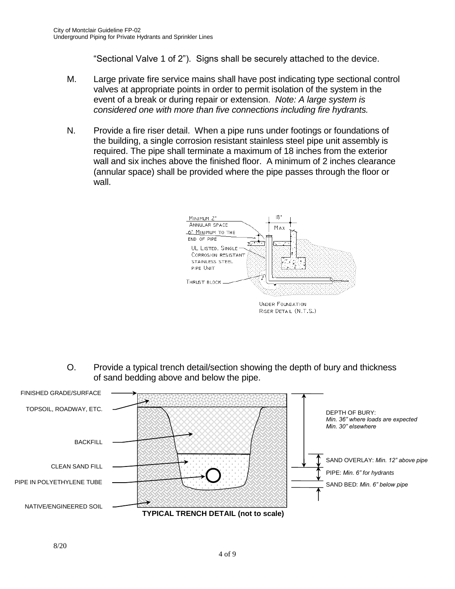"Sectional Valve 1 of 2"). Signs shall be securely attached to the device.

- M. Large private fire service mains shall have post indicating type sectional control valves at appropriate points in order to permit isolation of the system in the event of a break or during repair or extension. *Note: A large system is considered one with more than five connections including fire hydrants.*
- N. Provide a fire riser detail. When a pipe runs under footings or foundations of the building, a single corrosion resistant stainless steel pipe unit assembly is required. The pipe shall terminate a maximum of 18 inches from the exterior wall and six inches above the finished floor. A minimum of 2 inches clearance (annular space) shall be provided where the pipe passes through the floor or wall.



O. Provide a typical trench detail/section showing the depth of bury and thickness of sand bedding above and below the pipe.

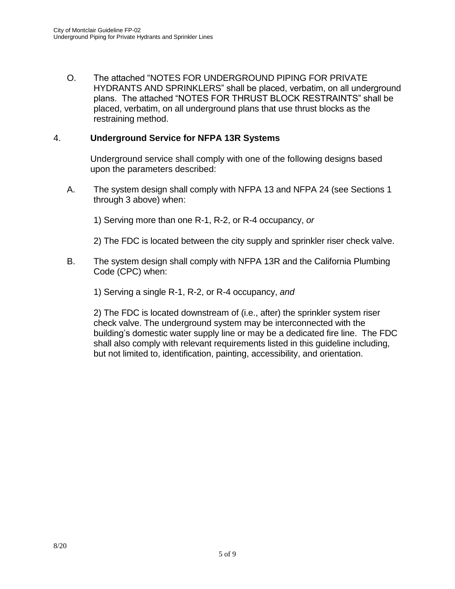O. The attached "NOTES FOR UNDERGROUND PIPING FOR PRIVATE HYDRANTS AND SPRINKLERS" shall be placed, verbatim, on all underground plans. The attached "NOTES FOR THRUST BLOCK RESTRAINTS" shall be placed, verbatim, on all underground plans that use thrust blocks as the restraining method.

## 4. **Underground Service for NFPA 13R Systems**

Underground service shall comply with one of the following designs based upon the parameters described:

A. The system design shall comply with NFPA 13 and NFPA 24 (see Sections 1 through 3 above) when:

1) Serving more than one R-1, R-2, or R-4 occupancy, *or*

2) The FDC is located between the city supply and sprinkler riser check valve.

B. The system design shall comply with NFPA 13R and the California Plumbing Code (CPC) when:

1) Serving a single R-1, R-2, or R-4 occupancy, *and*

2) The FDC is located downstream of (i.e., after) the sprinkler system riser check valve. The underground system may be interconnected with the building's domestic water supply line or may be a dedicated fire line. The FDC shall also comply with relevant requirements listed in this guideline including, but not limited to, identification, painting, accessibility, and orientation.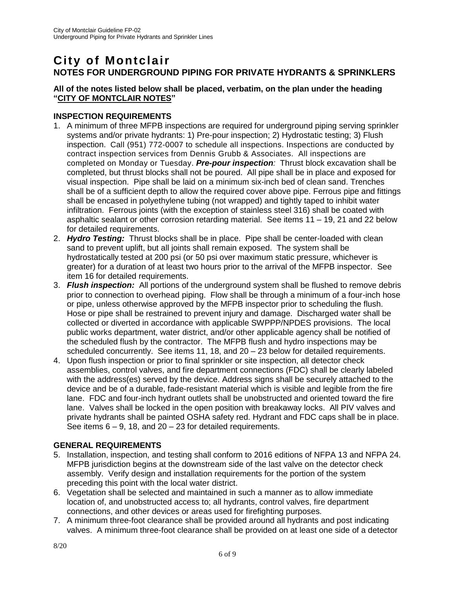# **City of Montclair NOTES FOR UNDERGROUND PIPING FOR PRIVATE HYDRANTS & SPRINKLERS**

#### **All of the notes listed below shall be placed, verbatim, on the plan under the heading "CITY OF MONTCLAIR NOTES"**

#### **INSPECTION REQUIREMENTS**

- 1. A minimum of three MFPB inspections are required for underground piping serving sprinkler systems and/or private hydrants: 1) Pre-pour inspection; 2) Hydrostatic testing; 3) Flush inspection. Call (951) 772-0007 to schedule all inspections. Inspections are conducted by contract inspection services from Dennis Grubb & Associates. All inspections are completed on Monday or Tuesday. *Pre-pour inspection:* Thrust block excavation shall be completed, but thrust blocks shall not be poured. All pipe shall be in place and exposed for visual inspection. Pipe shall be laid on a minimum six-inch bed of clean sand. Trenches shall be of a sufficient depth to allow the required cover above pipe. Ferrous pipe and fittings shall be encased in polyethylene tubing (not wrapped) and tightly taped to inhibit water infiltration. Ferrous joints (with the exception of stainless steel 316) shall be coated with asphaltic sealant or other corrosion retarding material. See items 11 – 19, 21 and 22 below for detailed requirements.
- 2. *Hydro Testing:* Thrust blocks shall be in place. Pipe shall be center-loaded with clean sand to prevent uplift, but all joints shall remain exposed. The system shall be hydrostatically tested at 200 psi (or 50 psi over maximum static pressure, whichever is greater) for a duration of at least two hours prior to the arrival of the MFPB inspector. See item 16 for detailed requirements.
- 3. *Flush inspection:* All portions of the underground system shall be flushed to remove debris prior to connection to overhead piping. Flow shall be through a minimum of a four-inch hose or pipe, unless otherwise approved by the MFPB inspector prior to scheduling the flush. Hose or pipe shall be restrained to prevent injury and damage. Discharged water shall be collected or diverted in accordance with applicable SWPPP/NPDES provisions. The local public works department, water district, and/or other applicable agency shall be notified of the scheduled flush by the contractor. The MFPB flush and hydro inspections may be scheduled concurrently. See items 11, 18, and 20 – 23 below for detailed requirements.
- 4. Upon flush inspection or prior to final sprinkler or site inspection, all detector check assemblies, control valves, and fire department connections (FDC) shall be clearly labeled with the address(es) served by the device. Address signs shall be securely attached to the device and be of a durable, fade-resistant material which is visible and legible from the fire lane. FDC and four-inch hydrant outlets shall be unobstructed and oriented toward the fire lane. Valves shall be locked in the open position with breakaway locks. All PIV valves and private hydrants shall be painted OSHA safety red. Hydrant and FDC caps shall be in place. See items  $6 - 9$ , 18, and  $20 - 23$  for detailed requirements.

#### **GENERAL REQUIREMENTS**

- 5. Installation, inspection, and testing shall conform to 2016 editions of NFPA 13 and NFPA 24. MFPB jurisdiction begins at the downstream side of the last valve on the detector check assembly. Verify design and installation requirements for the portion of the system preceding this point with the local water district.
- 6. Vegetation shall be selected and maintained in such a manner as to allow immediate location of, and unobstructed access to; all hydrants, control valves, fire department connections, and other devices or areas used for firefighting purposes.
- 7. A minimum three-foot clearance shall be provided around all hydrants and post indicating valves. A minimum three-foot clearance shall be provided on at least one side of a detector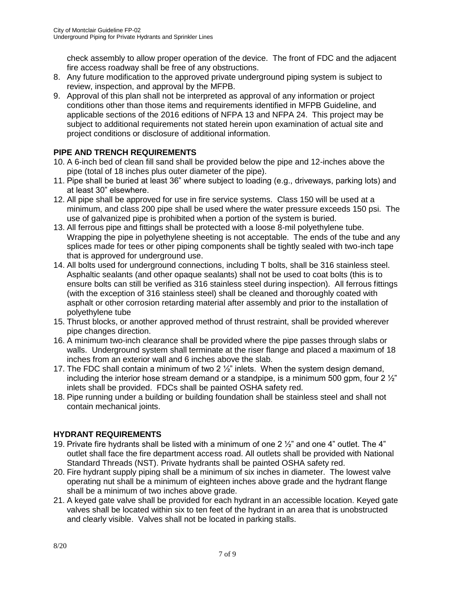check assembly to allow proper operation of the device. The front of FDC and the adjacent fire access roadway shall be free of any obstructions.

- 8. Any future modification to the approved private underground piping system is subject to review, inspection, and approval by the MFPB.
- 9. Approval of this plan shall not be interpreted as approval of any information or project conditions other than those items and requirements identified in MFPB Guideline, and applicable sections of the 2016 editions of NFPA 13 and NFPA 24. This project may be subject to additional requirements not stated herein upon examination of actual site and project conditions or disclosure of additional information.

## **PIPE AND TRENCH REQUIREMENTS**

- 10. A 6-inch bed of clean fill sand shall be provided below the pipe and 12-inches above the pipe (total of 18 inches plus outer diameter of the pipe).
- 11. Pipe shall be buried at least 36" where subject to loading (e.g., driveways, parking lots) and at least 30" elsewhere.
- 12. All pipe shall be approved for use in fire service systems. Class 150 will be used at a minimum, and class 200 pipe shall be used where the water pressure exceeds 150 psi. The use of galvanized pipe is prohibited when a portion of the system is buried.
- 13. All ferrous pipe and fittings shall be protected with a loose 8-mil polyethylene tube. Wrapping the pipe in polyethylene sheeting is not acceptable. The ends of the tube and any splices made for tees or other piping components shall be tightly sealed with two-inch tape that is approved for underground use.
- 14. All bolts used for underground connections, including T bolts, shall be 316 stainless steel. Asphaltic sealants (and other opaque sealants) shall not be used to coat bolts (this is to ensure bolts can still be verified as 316 stainless steel during inspection). All ferrous fittings (with the exception of 316 stainless steel) shall be cleaned and thoroughly coated with asphalt or other corrosion retarding material after assembly and prior to the installation of polyethylene tube
- 15. Thrust blocks, or another approved method of thrust restraint, shall be provided wherever pipe changes direction.
- 16. A minimum two-inch clearance shall be provided where the pipe passes through slabs or walls. Underground system shall terminate at the riser flange and placed a maximum of 18 inches from an exterior wall and 6 inches above the slab.
- 17. The FDC shall contain a minimum of two 2  $\frac{1}{2}$ " inlets. When the system design demand, including the interior hose stream demand or a standpipe, is a minimum 500 gpm, four  $2\frac{1}{2}$ " inlets shall be provided. FDCs shall be painted OSHA safety red.
- 18. Pipe running under a building or building foundation shall be stainless steel and shall not contain mechanical joints.

## **HYDRANT REQUIREMENTS**

- 19. Private fire hydrants shall be listed with a minimum of one 2 ½" and one 4" outlet. The 4" outlet shall face the fire department access road. All outlets shall be provided with National Standard Threads (NST). Private hydrants shall be painted OSHA safety red.
- 20. Fire hydrant supply piping shall be a minimum of six inches in diameter. The lowest valve operating nut shall be a minimum of eighteen inches above grade and the hydrant flange shall be a minimum of two inches above grade.
- 21. A keyed gate valve shall be provided for each hydrant in an accessible location. Keyed gate valves shall be located within six to ten feet of the hydrant in an area that is unobstructed and clearly visible. Valves shall not be located in parking stalls.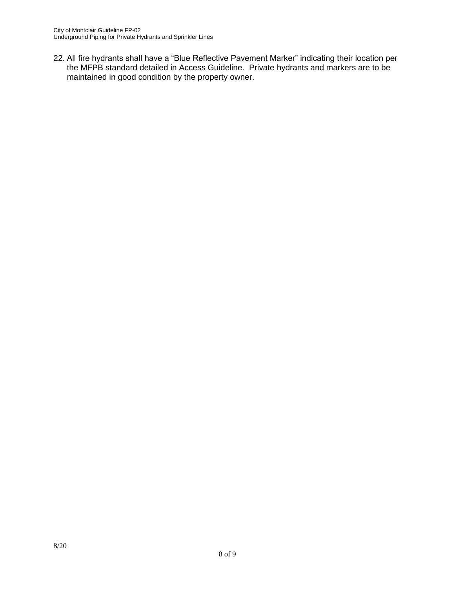22. All fire hydrants shall have a "Blue Reflective Pavement Marker" indicating their location per the MFPB standard detailed in Access Guideline. Private hydrants and markers are to be maintained in good condition by the property owner.